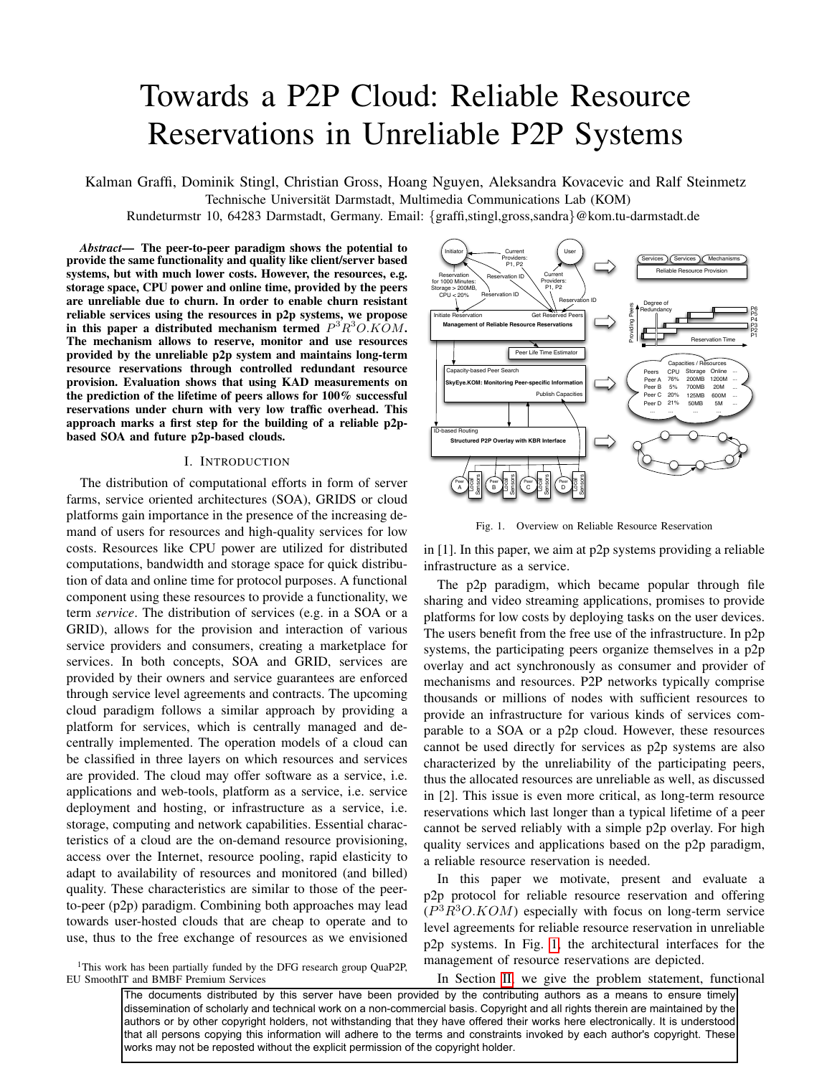# Towards a P2P Cloud: Reliable Resource Reservations in Unreliable P2P Systems

Kalman Graffi, Dominik Stingl, Christian Gross, Hoang Nguyen, Aleksandra Kovacevic and Ralf Steinmetz Technische Universität Darmstadt, Multimedia Communications Lab (KOM)

Rundeturmstr 10, 64283 Darmstadt, Germany. Email: {graffi,stingl,gross,sandra}@kom.tu-darmstadt.de

*Abstract*— The peer-to-peer paradigm shows the potential to provide the same functionality and quality like client/server based systems, but with much lower costs. However, the resources, e.g. storage space, CPU power and online time, provided by the peers are unreliable due to churn. In order to enable churn resistant reliable services using the resources in p2p systems, we propose in this paper a distributed mechanism termed  $P^3R^3O.KOM$ . The mechanism allows to reserve, monitor and use resources provided by the unreliable p2p system and maintains long-term resource reservations through controlled redundant resource provision. Evaluation shows that using KAD measurements on the prediction of the lifetime of peers allows for 100% successful reservations under churn with very low traffic overhead. This approach marks a first step for the building of a reliable p2pbased SOA and future p2p-based clouds.

## I. INTRODUCTION

The distribution of computational efforts in form of server farms, service oriented architectures (SOA), GRIDS or cloud platforms gain importance in the presence of the increasing demand of users for resources and high-quality services for low costs. Resources like CPU power are utilized for distributed computations, bandwidth and storage space for quick distribution of data and online time for protocol purposes. A functional component using these resources to provide a functionality, we term *service*. The distribution of services (e.g. in a SOA or a GRID), allows for the provision and interaction of various service providers and consumers, creating a marketplace for services. In both concepts, SOA and GRID, services are provided by their owners and service guarantees are enforced through service level agreements and contracts. The upcoming cloud paradigm follows a similar approach by providing a platform for services, which is centrally managed and decentrally implemented. The operation models of a cloud can be classified in three layers on which resources and services are provided. The cloud may offer software as a service, i.e. applications and web-tools, platform as a service, i.e. service deployment and hosting, or infrastructure as a service, i.e. storage, computing and network capabilities. Essential characteristics of a cloud are the on-demand resource provisioning, access over the Internet, resource pooling, rapid elasticity to adapt to availability of resources and monitored (and billed) quality. These characteristics are similar to those of the peerto-peer (p2p) paradigm. Combining both approaches may lead towards user-hosted clouds that are cheap to operate and to use, thus to the free exchange of resources as we envisioned

<sup>1</sup>This work has been partially funded by the DFG research group QuaP2P, EU SmoothIT and BMBF Premium Services



<span id="page-0-0"></span>Fig. 1. Overview on Reliable Resource Reservation

in [1]. In this paper, we aim at p2p systems providing a reliable infrastructure as a service.

The p2p paradigm, which became popular through file sharing and video streaming applications, promises to provide platforms for low costs by deploying tasks on the user devices. The users benefit from the free use of the infrastructure. In p2p systems, the participating peers organize themselves in a p2p overlay and act synchronously as consumer and provider of mechanisms and resources. P2P networks typically comprise thousands or millions of nodes with sufficient resources to provide an infrastructure for various kinds of services comparable to a SOA or a p2p cloud. However, these resources cannot be used directly for services as p2p systems are also characterized by the unreliability of the participating peers, thus the allocated resources are unreliable as well, as discussed in [2]. This issue is even more critical, as long-term resource reservations which last longer than a typical lifetime of a peer cannot be served reliably with a simple p2p overlay. For high quality services and applications based on the p2p paradigm, a reliable resource reservation is needed.

In this paper we motivate, present and evaluate a p2p protocol for reliable resource reservation and offering  $(P<sup>3</sup>R<sup>3</sup>O.KOM)$  especially with focus on long-term service level agreements for reliable resource reservation in unreliable p2p systems. In Fig. [1,](#page-0-0) the architectural interfaces for the management of resource reservations are depicted.

In Section [II,](#page-1-0) we give the problem statement, functional

The documents distributed by this server have been provided by the contributing authors as a means to ensure timely dissemination of scholarly and technical work on a non-commercial basis. Copyright and all rights therein are maintained by the authors or by other copyright holders, not withstanding that they have offered their works here electronically. It is understood that all persons copying this information will adhere to the terms and constraints invoked by each author's copyright. These works may not be reposted without the explicit permission of the copyright holder.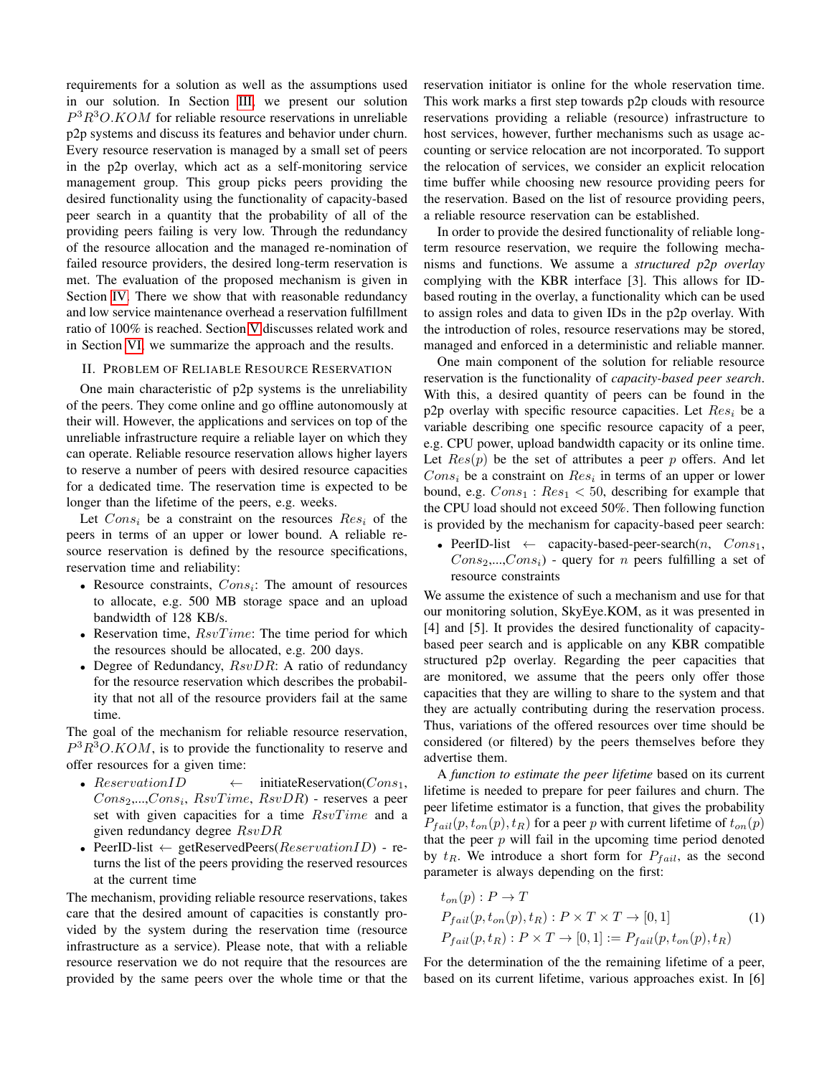requirements for a solution as well as the assumptions used in our solution. In Section [III,](#page-2-0) we present our solution  $P<sup>3</sup>R<sup>3</sup>O.KOM$  for reliable resource reservations in unreliable p2p systems and discuss its features and behavior under churn. Every resource reservation is managed by a small set of peers in the p2p overlay, which act as a self-monitoring service management group. This group picks peers providing the desired functionality using the functionality of capacity-based peer search in a quantity that the probability of all of the providing peers failing is very low. Through the redundancy of the resource allocation and the managed re-nomination of failed resource providers, the desired long-term reservation is met. The evaluation of the proposed mechanism is given in Section [IV.](#page-4-0) There we show that with reasonable redundancy and low service maintenance overhead a reservation fulfillment ratio of 100% is reached. Section [V](#page-6-0) discusses related work and in Section [VI,](#page-6-1) we summarize the approach and the results.

#### <span id="page-1-0"></span>II. PROBLEM OF RELIABLE RESOURCE RESERVATION

One main characteristic of p2p systems is the unreliability of the peers. They come online and go offline autonomously at their will. However, the applications and services on top of the unreliable infrastructure require a reliable layer on which they can operate. Reliable resource reservation allows higher layers to reserve a number of peers with desired resource capacities for a dedicated time. The reservation time is expected to be longer than the lifetime of the peers, e.g. weeks.

Let  $Cons_i$  be a constraint on the resources  $Res_i$  of the peers in terms of an upper or lower bound. A reliable resource reservation is defined by the resource specifications, reservation time and reliability:

- Resource constraints,  $Cons_i$ : The amount of resources to allocate, e.g. 500 MB storage space and an upload bandwidth of 128 KB/s.
- Reservation time,  $RsvTime$ : The time period for which the resources should be allocated, e.g. 200 days.
- Degree of Redundancy,  $RsvDR$ : A ratio of redundancy for the resource reservation which describes the probability that not all of the resource providers fail at the same time.

The goal of the mechanism for reliable resource reservation,  $P<sup>3</sup>R<sup>3</sup>O. KOM$ , is to provide the functionality to reserve and offer resources for a given time:

- $ReservationID \leftarrow initiateReservation(Cons<sub>1</sub>,$  $Cons_2,...,Cons_i, RsvTime, RsvDR$  - reserves a peer set with given capacities for a time  $RsvTime$  and a given redundancy degree  $RsvDR$
- PeerID-list  $\leftarrow$  getReservedPeers( $ReservationID$ ) returns the list of the peers providing the reserved resources at the current time

The mechanism, providing reliable resource reservations, takes care that the desired amount of capacities is constantly provided by the system during the reservation time (resource infrastructure as a service). Please note, that with a reliable resource reservation we do not require that the resources are provided by the same peers over the whole time or that the reservation initiator is online for the whole reservation time. This work marks a first step towards p2p clouds with resource reservations providing a reliable (resource) infrastructure to host services, however, further mechanisms such as usage accounting or service relocation are not incorporated. To support the relocation of services, we consider an explicit relocation time buffer while choosing new resource providing peers for the reservation. Based on the list of resource providing peers, a reliable resource reservation can be established.

In order to provide the desired functionality of reliable longterm resource reservation, we require the following mechanisms and functions. We assume a *structured p2p overlay* complying with the KBR interface [3]. This allows for IDbased routing in the overlay, a functionality which can be used to assign roles and data to given IDs in the p2p overlay. With the introduction of roles, resource reservations may be stored, managed and enforced in a deterministic and reliable manner.

One main component of the solution for reliable resource reservation is the functionality of *capacity-based peer search*. With this, a desired quantity of peers can be found in the p2p overlay with specific resource capacities. Let  $Res_i$  be a variable describing one specific resource capacity of a peer, e.g. CPU power, upload bandwidth capacity or its online time. Let  $Res(p)$  be the set of attributes a peer p offers. And let  $Cons<sub>i</sub>$  be a constraint on  $Res<sub>i</sub>$  in terms of an upper or lower bound, e.g.  $Cons_1: Res_1 < 50$ , describing for example that the CPU load should not exceed 50%. Then following function is provided by the mechanism for capacity-based peer search:

• PeerID-list  $\leftarrow$  capacity-based-peer-search $(n, \text{Cons}_1,$  $Cons_2,...,Cons_i)$  - query for *n* peers fulfilling a set of resource constraints

We assume the existence of such a mechanism and use for that our monitoring solution, SkyEye.KOM, as it was presented in [4] and [5]. It provides the desired functionality of capacitybased peer search and is applicable on any KBR compatible structured p2p overlay. Regarding the peer capacities that are monitored, we assume that the peers only offer those capacities that they are willing to share to the system and that they are actually contributing during the reservation process. Thus, variations of the offered resources over time should be considered (or filtered) by the peers themselves before they advertise them.

A *function to estimate the peer lifetime* based on its current lifetime is needed to prepare for peer failures and churn. The peer lifetime estimator is a function, that gives the probability  $P_{fail}(p, t_{on}(p), t_R)$  for a peer p with current lifetime of  $t_{on}(p)$ that the peer  $p$  will fail in the upcoming time period denoted by  $t_R$ . We introduce a short form for  $P_{fail}$ , as the second parameter is always depending on the first:

<span id="page-1-1"></span>
$$
t_{on}(p): P \to T
$$
  
\n
$$
P_{fail}(p, t_{on}(p), t_R): P \times T \times T \to [0, 1]
$$
  
\n
$$
P_{fail}(p, t_R): P \times T \to [0, 1] := P_{fail}(p, t_{on}(p), t_R)
$$
  
\n(1)

For the determination of the the remaining lifetime of a peer, based on its current lifetime, various approaches exist. In [6]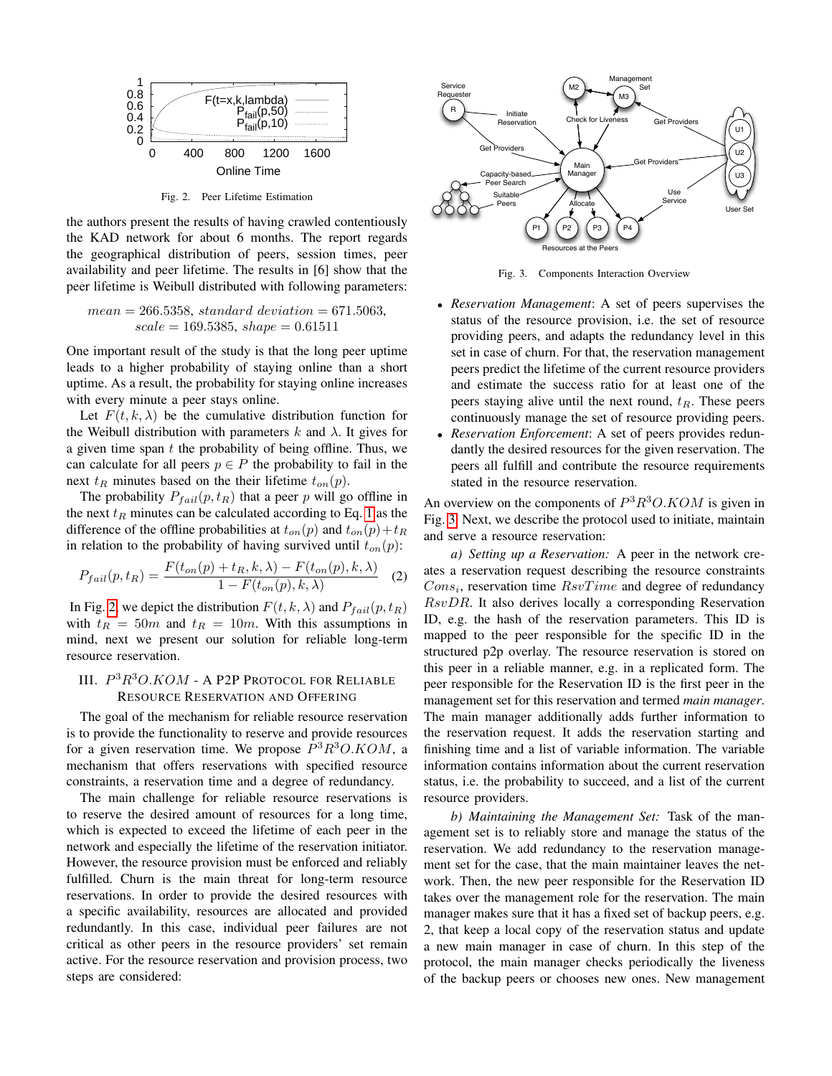

<span id="page-2-1"></span>Fig. 2. Peer Lifetime Estimation

the authors present the results of having crawled contentiously the KAD network for about 6 months. The report regards the geographical distribution of peers, session times, peer availability and peer lifetime. The results in [6] show that the peer lifetime is Weibull distributed with following parameters:

$$
mean = 266.5358, standard deviation = 671.5063,
$$
  

$$
scale = 169.5385, shape = 0.61511
$$

One important result of the study is that the long peer uptime leads to a higher probability of staying online than a short uptime. As a result, the probability for staying online increases with every minute a peer stays online.

Let  $F(t, k, \lambda)$  be the cumulative distribution function for the Weibull distribution with parameters k and  $\lambda$ . It gives for a given time span  $t$  the probability of being offline. Thus, we can calculate for all peers  $p \in P$  the probability to fail in the next  $t_R$  minutes based on the their lifetime  $t_{on}(p)$ .

The probability  $P_{fail}(p, t_R)$  that a peer p will go offline in the next  $t_R$  minutes can be calculated according to Eq. [1](#page-1-1) as the difference of the offline probabilities at  $t_{on}(p)$  and  $t_{on}(p)+t_R$ in relation to the probability of having survived until  $t_{on}(p)$ :

<span id="page-2-3"></span>
$$
P_{fail}(p, t_R) = \frac{F(t_{on}(p) + t_R, k, \lambda) - F(t_{on}(p), k, \lambda)}{1 - F(t_{on}(p), k, \lambda)} \tag{2}
$$

In Fig. [2,](#page-2-1) we depict the distribution  $F(t, k, \lambda)$  and  $P_{fail}(p, t_R)$ with  $t_R = 50m$  and  $t_R = 10m$ . With this assumptions in mind, next we present our solution for reliable long-term resource reservation.

# <span id="page-2-0"></span>III.  $P^3R^3O.KOM$  - A P2P Protocol for Reliable RESOURCE RESERVATION AND OFFERING

The goal of the mechanism for reliable resource reservation is to provide the functionality to reserve and provide resources for a given reservation time. We propose  $P^3R^3O.KOM$ , a mechanism that offers reservations with specified resource constraints, a reservation time and a degree of redundancy.

The main challenge for reliable resource reservations is to reserve the desired amount of resources for a long time, which is expected to exceed the lifetime of each peer in the network and especially the lifetime of the reservation initiator. However, the resource provision must be enforced and reliably fulfilled. Churn is the main threat for long-term resource reservations. In order to provide the desired resources with a specific availability, resources are allocated and provided redundantly. In this case, individual peer failures are not critical as other peers in the resource providers' set remain active. For the resource reservation and provision process, two steps are considered:



<span id="page-2-2"></span>Fig. 3. Components Interaction Overview

- *Reservation Management*: A set of peers supervises the status of the resource provision, i.e. the set of resource providing peers, and adapts the redundancy level in this set in case of churn. For that, the reservation management peers predict the lifetime of the current resource providers and estimate the success ratio for at least one of the peers staying alive until the next round,  $t_R$ . These peers continuously manage the set of resource providing peers.
- *Reservation Enforcement*: A set of peers provides redundantly the desired resources for the given reservation. The peers all fulfill and contribute the resource requirements stated in the resource reservation.

An overview on the components of  $P^3R^3O.KOM$  is given in Fig. [3.](#page-2-2) Next, we describe the protocol used to initiate, maintain and serve a resource reservation:

*a) Setting up a Reservation:* A peer in the network creates a reservation request describing the resource constraints  $Cons<sub>i</sub>$ , reservation time  $RsvTime$  and degree of redundancy RsvDR. It also derives locally a corresponding Reservation ID, e.g. the hash of the reservation parameters. This ID is mapped to the peer responsible for the specific ID in the structured p2p overlay. The resource reservation is stored on this peer in a reliable manner, e.g. in a replicated form. The peer responsible for the Reservation ID is the first peer in the management set for this reservation and termed *main manager*. The main manager additionally adds further information to the reservation request. It adds the reservation starting and finishing time and a list of variable information. The variable information contains information about the current reservation status, i.e. the probability to succeed, and a list of the current resource providers.

*b) Maintaining the Management Set:* Task of the management set is to reliably store and manage the status of the reservation. We add redundancy to the reservation management set for the case, that the main maintainer leaves the network. Then, the new peer responsible for the Reservation ID takes over the management role for the reservation. The main manager makes sure that it has a fixed set of backup peers, e.g. 2, that keep a local copy of the reservation status and update a new main manager in case of churn. In this step of the protocol, the main manager checks periodically the liveness of the backup peers or chooses new ones. New management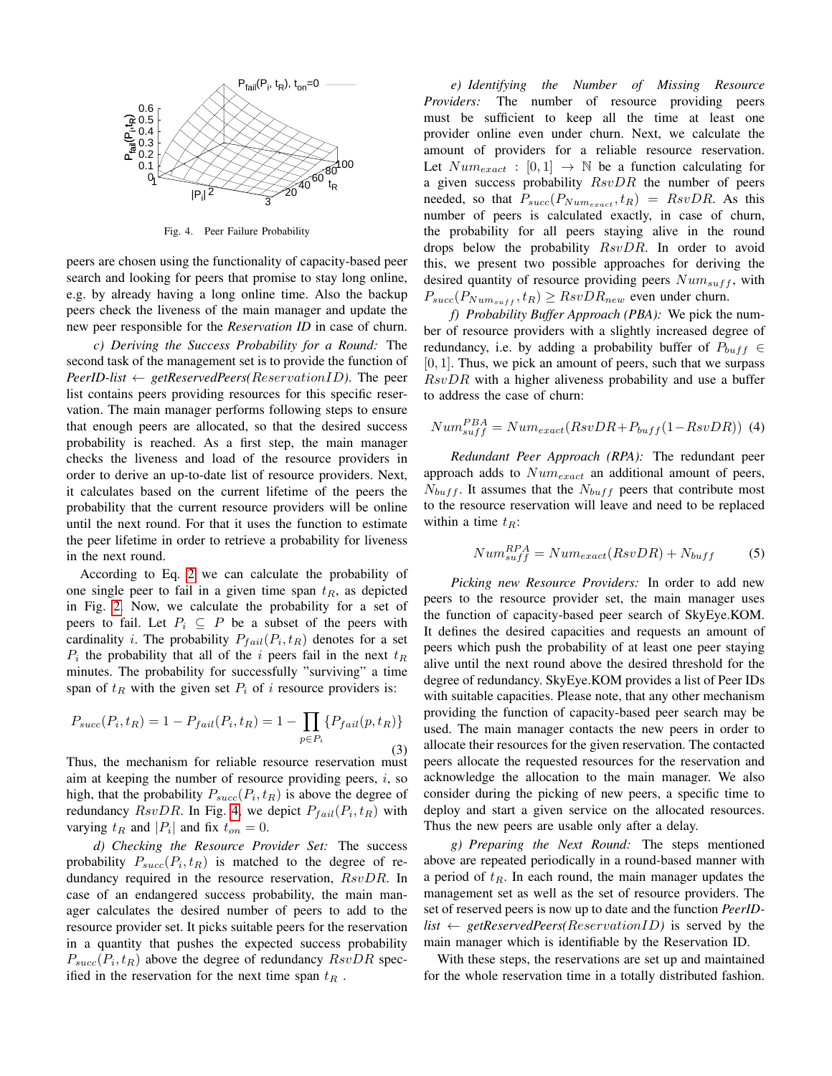

<span id="page-3-0"></span>Fig. 4. Peer Failure Probability

peers are chosen using the functionality of capacity-based peer search and looking for peers that promise to stay long online, e.g. by already having a long online time. Also the backup peers check the liveness of the main manager and update the new peer responsible for the *Reservation ID* in case of churn.

*c) Deriving the Success Probability for a Round:* The second task of the management set is to provide the function of  $PeerID-list \leftarrow getReservedPeers(ReservationID)$ . The peer list contains peers providing resources for this specific reservation. The main manager performs following steps to ensure that enough peers are allocated, so that the desired success probability is reached. As a first step, the main manager checks the liveness and load of the resource providers in order to derive an up-to-date list of resource providers. Next, it calculates based on the current lifetime of the peers the probability that the current resource providers will be online until the next round. For that it uses the function to estimate the peer lifetime in order to retrieve a probability for liveness in the next round.

According to Eq. [2](#page-2-3) we can calculate the probability of one single peer to fail in a given time span  $t_R$ , as depicted in Fig. [2.](#page-2-1) Now, we calculate the probability for a set of peers to fail. Let  $P_i \subseteq P$  be a subset of the peers with cardinality *i*. The probability  $P_{fail}(P_i, t_R)$  denotes for a set  $P_i$  the probability that all of the i peers fail in the next  $t_R$ minutes. The probability for successfully "surviving" a time span of  $t_R$  with the given set  $P_i$  of i resource providers is:

$$
P_{succ}(P_i, t_R) = 1 - P_{fail}(P_i, t_R) = 1 - \prod_{p \in P_i} \{P_{fail}(p, t_R)\}
$$
\n(3)

Thus, the mechanism for reliable resource reservation must aim at keeping the number of resource providing peers,  $i$ , so high, that the probability  $P_{succ}(P_i, t_R)$  is above the degree of redundancy  $RsvDR$ . In Fig. [4,](#page-3-0) we depict  $P_{fail}(P_i, t_R)$  with varying  $t_R$  and  $|P_i|$  and fix  $t_{on} = 0$ .

*d) Checking the Resource Provider Set:* The success probability  $P_{succ}(P_i, t_R)$  is matched to the degree of redundancy required in the resource reservation,  $RsvDR$ . In case of an endangered success probability, the main manager calculates the desired number of peers to add to the resource provider set. It picks suitable peers for the reservation in a quantity that pushes the expected success probability  $P_{succ}(P_i, t_R)$  above the degree of redundancy  $RsvDR$  specified in the reservation for the next time span  $t_R$ .

*e) Identifying the Number of Missing Resource Providers:* The number of resource providing peers must be sufficient to keep all the time at least one provider online even under churn. Next, we calculate the amount of providers for a reliable resource reservation. Let  $Num_{exact} : [0,1] \rightarrow \mathbb{N}$  be a function calculating for a given success probability  $RsvDR$  the number of peers needed, so that  $P_{succ}(P_{Num_{exact}}, t_R) = RsvDR$ . As this number of peers is calculated exactly, in case of churn, the probability for all peers staying alive in the round drops below the probability RsvDR. In order to avoid this, we present two possible approaches for deriving the desired quantity of resource providing peers  $Num_{suff}$ , with  $P_{succ}(P_{Num_{surf} t}, t_R) \geq RsvDR_{new}$  even under churn.

*f) Probability Buffer Approach (PBA):* We pick the number of resource providers with a slightly increased degree of redundancy, i.e. by adding a probability buffer of  $P_{buffer} \in$  $[0, 1]$ . Thus, we pick an amount of peers, such that we surpass  $RsvDR$  with a higher aliveness probability and use a buffer to address the case of churn:

$$
Num_{suff}^{PBA} = Num_{exact}(RsvDR + P_{buff}(1 - RsvDR))
$$
 (4)

*Redundant Peer Approach (RPA):* The redundant peer approach adds to  $Num_{exact}$  an additional amount of peers,  $N_{buffer}$ . It assumes that the  $N_{buffer}$  peers that contribute most to the resource reservation will leave and need to be replaced within a time  $t_R$ :

$$
Num_{suff}^{RPA} = Num_{exact}(RsvDR) + N_{buff} \tag{5}
$$

*Picking new Resource Providers:* In order to add new peers to the resource provider set, the main manager uses the function of capacity-based peer search of SkyEye.KOM. It defines the desired capacities and requests an amount of peers which push the probability of at least one peer staying alive until the next round above the desired threshold for the degree of redundancy. SkyEye.KOM provides a list of Peer IDs with suitable capacities. Please note, that any other mechanism providing the function of capacity-based peer search may be used. The main manager contacts the new peers in order to allocate their resources for the given reservation. The contacted peers allocate the requested resources for the reservation and acknowledge the allocation to the main manager. We also consider during the picking of new peers, a specific time to deploy and start a given service on the allocated resources. Thus the new peers are usable only after a delay.

*g) Preparing the Next Round:* The steps mentioned above are repeated periodically in a round-based manner with a period of  $t_R$ . In each round, the main manager updates the management set as well as the set of resource providers. The set of reserved peers is now up to date and the function *PeerID* $list \leftarrow \text{getReservedPeers}(ReservationID)$  is served by the main manager which is identifiable by the Reservation ID.

With these steps, the reservations are set up and maintained for the whole reservation time in a totally distributed fashion.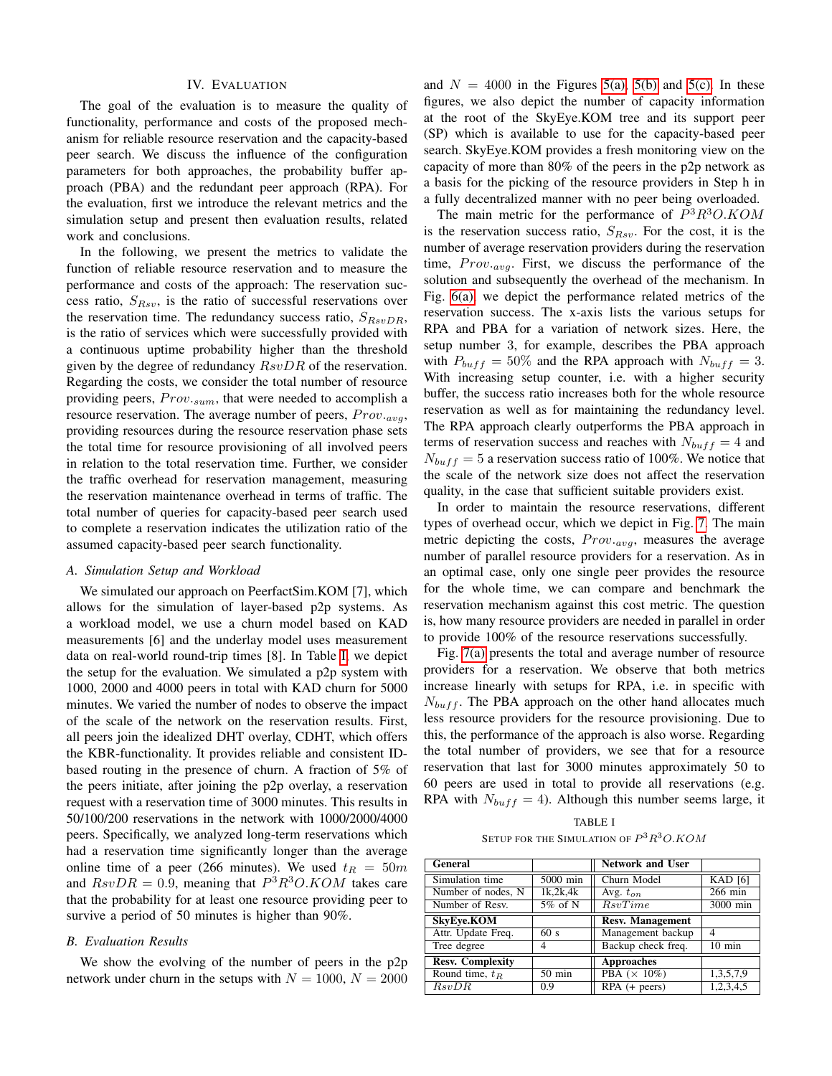#### IV. EVALUATION

<span id="page-4-0"></span>The goal of the evaluation is to measure the quality of functionality, performance and costs of the proposed mechanism for reliable resource reservation and the capacity-based peer search. We discuss the influence of the configuration parameters for both approaches, the probability buffer approach (PBA) and the redundant peer approach (RPA). For the evaluation, first we introduce the relevant metrics and the simulation setup and present then evaluation results, related work and conclusions.

In the following, we present the metrics to validate the function of reliable resource reservation and to measure the performance and costs of the approach: The reservation success ratio,  $S_{Rsv}$ , is the ratio of successful reservations over the reservation time. The redundancy success ratio,  $S_{RsvDR}$ , is the ratio of services which were successfully provided with a continuous uptime probability higher than the threshold given by the degree of redundancy  $RsvDR$  of the reservation. Regarding the costs, we consider the total number of resource providing peers,  $Prov_{sum}$ , that were needed to accomplish a resource reservation. The average number of peers,  $Prov_{.avg}$ , providing resources during the resource reservation phase sets the total time for resource provisioning of all involved peers in relation to the total reservation time. Further, we consider the traffic overhead for reservation management, measuring the reservation maintenance overhead in terms of traffic. The total number of queries for capacity-based peer search used to complete a reservation indicates the utilization ratio of the assumed capacity-based peer search functionality.

### *A. Simulation Setup and Workload*

We simulated our approach on PeerfactSim.KOM [7], which allows for the simulation of layer-based p2p systems. As a workload model, we use a churn model based on KAD measurements [6] and the underlay model uses measurement data on real-world round-trip times [8]. In Table [I,](#page-4-1) we depict the setup for the evaluation. We simulated a p2p system with 1000, 2000 and 4000 peers in total with KAD churn for 5000 minutes. We varied the number of nodes to observe the impact of the scale of the network on the reservation results. First, all peers join the idealized DHT overlay, CDHT, which offers the KBR-functionality. It provides reliable and consistent IDbased routing in the presence of churn. A fraction of 5% of the peers initiate, after joining the p2p overlay, a reservation request with a reservation time of 3000 minutes. This results in 50/100/200 reservations in the network with 1000/2000/4000 peers. Specifically, we analyzed long-term reservations which had a reservation time significantly longer than the average online time of a peer (266 minutes). We used  $t_R = 50m$ and  $RsvDR = 0.9$ , meaning that  $P^3R^3O.KOM$  takes care that the probability for at least one resource providing peer to survive a period of 50 minutes is higher than 90%.

### *B. Evaluation Results*

We show the evolving of the number of peers in the p2p network under churn in the setups with  $N = 1000$ ,  $N = 2000$ 

and  $N = 4000$  in the Figures [5\(a\),](#page-5-0) [5\(b\)](#page-5-1) and [5\(c\).](#page-5-2) In these figures, we also depict the number of capacity information at the root of the SkyEye.KOM tree and its support peer (SP) which is available to use for the capacity-based peer search. SkyEye.KOM provides a fresh monitoring view on the capacity of more than 80% of the peers in the p2p network as a basis for the picking of the resource providers in Step h in a fully decentralized manner with no peer being overloaded.

The main metric for the performance of  $P^3R^3O.KOM$ is the reservation success ratio,  $S_{Rsv}$ . For the cost, it is the number of average reservation providers during the reservation time,  $Prov_{avg}$ . First, we discuss the performance of the solution and subsequently the overhead of the mechanism. In Fig. [6\(a\),](#page-5-3) we depict the performance related metrics of the reservation success. The x-axis lists the various setups for RPA and PBA for a variation of network sizes. Here, the setup number 3, for example, describes the PBA approach with  $P_{buff} = 50\%$  and the RPA approach with  $N_{buff} = 3$ . With increasing setup counter, i.e. with a higher security buffer, the success ratio increases both for the whole resource reservation as well as for maintaining the redundancy level. The RPA approach clearly outperforms the PBA approach in terms of reservation success and reaches with  $N_{buff} = 4$  and  $N_{buffer} = 5$  a reservation success ratio of 100%. We notice that the scale of the network size does not affect the reservation quality, in the case that sufficient suitable providers exist.

In order to maintain the resource reservations, different types of overhead occur, which we depict in Fig. [7.](#page-6-2) The main metric depicting the costs,  $Prov_{.avg}$ , measures the average number of parallel resource providers for a reservation. As in an optimal case, only one single peer provides the resource for the whole time, we can compare and benchmark the reservation mechanism against this cost metric. The question is, how many resource providers are needed in parallel in order to provide 100% of the resource reservations successfully.

Fig. [7\(a\)](#page-6-3) presents the total and average number of resource providers for a reservation. We observe that both metrics increase linearly with setups for RPA, i.e. in specific with  $N_{burst}$ . The PBA approach on the other hand allocates much less resource providers for the resource provisioning. Due to this, the performance of the approach is also worse. Regarding the total number of providers, we see that for a resource reservation that last for 3000 minutes approximately 50 to 60 peers are used in total to provide all reservations (e.g. RPA with  $N_{buff} = 4$ ). Although this number seems large, it

TABLE I SETUP FOR THE SIMULATION OF  $P^3R^3O.KOM$ 

<span id="page-4-1"></span>

| General                 |            | <b>Network and User</b> |                  |
|-------------------------|------------|-------------------------|------------------|
| Simulation time         | 5000 min   | Churn Model             | <b>KAD</b> [6]   |
| Number of nodes, N      | 1k, 2k, 4k | Avg. $t_{on}$           | 266 min          |
| Number of Resv.         | $5\%$ of N | RsvTime                 | 3000 min         |
| SkyEye.KOM              |            | <b>Resv. Management</b> |                  |
| Attr. Update Freq.      | 60s        | Management backup       | 4                |
| Tree degree             | 4          | Backup check freq.      | $10 \text{ min}$ |
| <b>Resv. Complexity</b> |            | <b>Approaches</b>       |                  |
| Round time, $t_R$       | $50$ min   | PBA $(\times 10\%)$     | 1,3,5,7,9        |
| RsvDR                   | 0.9        | $RPA$ (+ peers)         | 1,2,3,4,5        |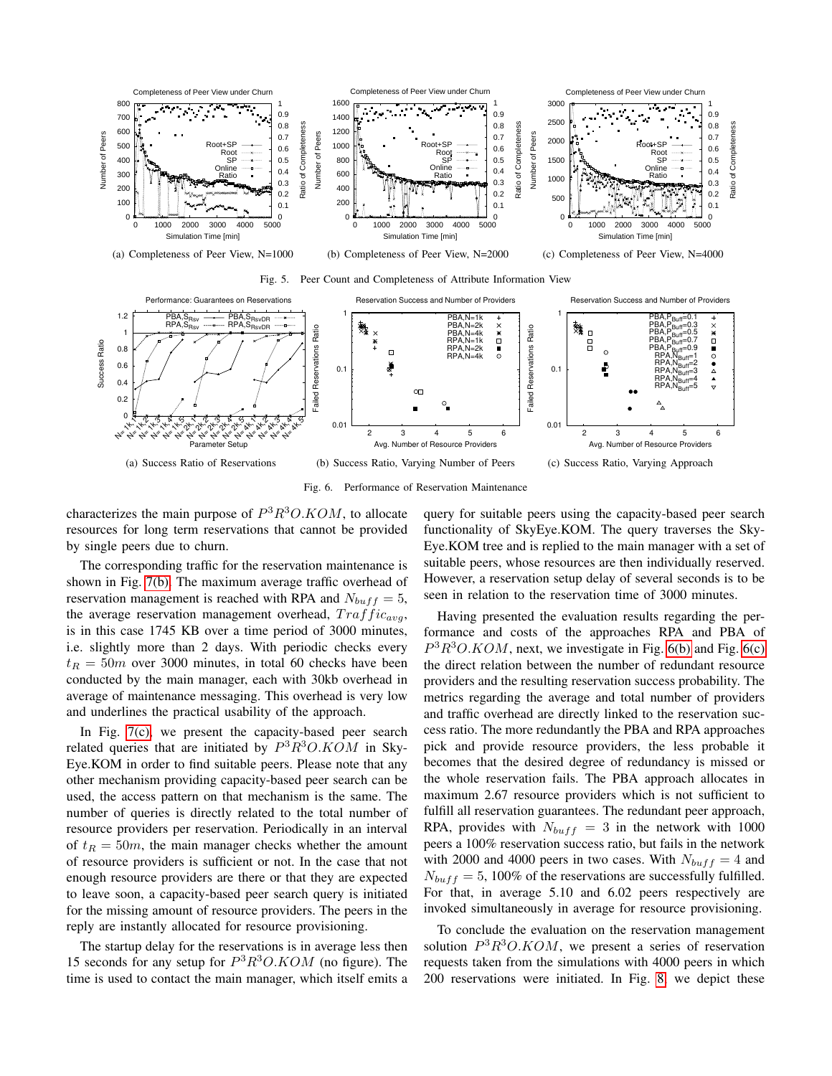

<span id="page-5-2"></span><span id="page-5-1"></span>

<span id="page-5-3"></span><span id="page-5-0"></span>

<span id="page-5-4"></span>Fig. 6. Performance of Reservation Maintenance

characterizes the main purpose of  $P^3R^3O.KOM$ , to allocate resources for long term reservations that cannot be provided by single peers due to churn.

The corresponding traffic for the reservation maintenance is shown in Fig. [7\(b\).](#page-6-4) The maximum average traffic overhead of reservation management is reached with RPA and  $N_{buff} = 5$ , the average reservation management overhead,  $T r a f f i c_{avg}$ , is in this case 1745 KB over a time period of 3000 minutes, i.e. slightly more than 2 days. With periodic checks every  $t_R = 50m$  over 3000 minutes, in total 60 checks have been conducted by the main manager, each with 30kb overhead in average of maintenance messaging. This overhead is very low and underlines the practical usability of the approach.

In Fig. [7\(c\),](#page-6-5) we present the capacity-based peer search related queries that are initiated by  $P^3R^3O.KOM$  in Sky-Eye.KOM in order to find suitable peers. Please note that any other mechanism providing capacity-based peer search can be used, the access pattern on that mechanism is the same. The number of queries is directly related to the total number of resource providers per reservation. Periodically in an interval of  $t_R = 50m$ , the main manager checks whether the amount of resource providers is sufficient or not. In the case that not enough resource providers are there or that they are expected to leave soon, a capacity-based peer search query is initiated for the missing amount of resource providers. The peers in the reply are instantly allocated for resource provisioning.

The startup delay for the reservations is in average less then 15 seconds for any setup for  $P^3R^3O.KOM$  (no figure). The time is used to contact the main manager, which itself emits a <span id="page-5-5"></span>query for suitable peers using the capacity-based peer search functionality of SkyEye.KOM. The query traverses the Sky-Eye.KOM tree and is replied to the main manager with a set of suitable peers, whose resources are then individually reserved. However, a reservation setup delay of several seconds is to be seen in relation to the reservation time of 3000 minutes.

Having presented the evaluation results regarding the performance and costs of the approaches RPA and PBA of  $P<sup>3</sup>R<sup>3</sup>O.KOM$ , next, we investigate in Fig. [6\(b\)](#page-5-4) and Fig. [6\(c\)](#page-5-5) the direct relation between the number of redundant resource providers and the resulting reservation success probability. The metrics regarding the average and total number of providers and traffic overhead are directly linked to the reservation success ratio. The more redundantly the PBA and RPA approaches pick and provide resource providers, the less probable it becomes that the desired degree of redundancy is missed or the whole reservation fails. The PBA approach allocates in maximum 2.67 resource providers which is not sufficient to fulfill all reservation guarantees. The redundant peer approach, RPA, provides with  $N_{buffer} = 3$  in the network with 1000 peers a 100% reservation success ratio, but fails in the network with 2000 and 4000 peers in two cases. With  $N_{buff} = 4$  and  $N_{buffer} = 5,100\%$  of the reservations are successfully fulfilled. For that, in average 5.10 and 6.02 peers respectively are invoked simultaneously in average for resource provisioning.

To conclude the evaluation on the reservation management solution  $P^3R^3O.KOM$ , we present a series of reservation requests taken from the simulations with 4000 peers in which 200 reservations were initiated. In Fig. [8,](#page-7-0) we depict these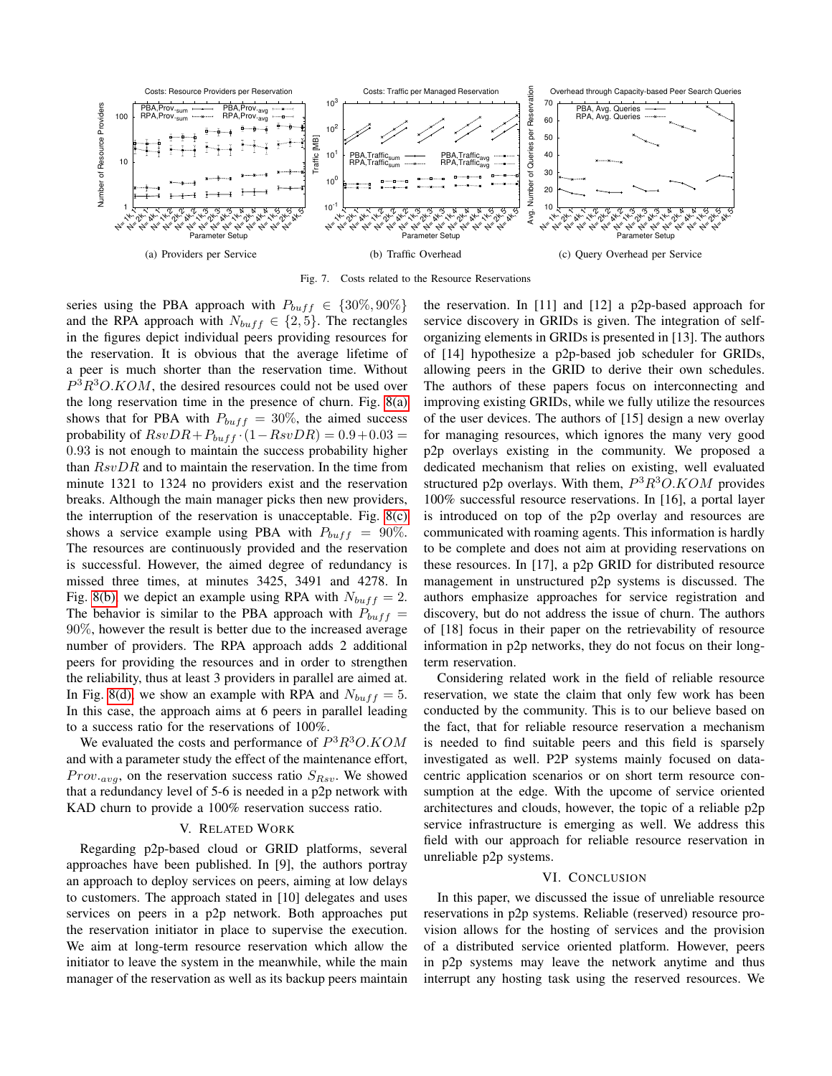<span id="page-6-3"></span>

<span id="page-6-4"></span><span id="page-6-2"></span>Fig. 7. Costs related to the Resource Reservations

series using the PBA approach with  $P_{buff} \in \{30\%, 90\%\}$ and the RPA approach with  $N_{buff} \in \{2, 5\}$ . The rectangles in the figures depict individual peers providing resources for the reservation. It is obvious that the average lifetime of a peer is much shorter than the reservation time. Without  $P<sup>3</sup>R<sup>3</sup>O. KOM$ , the desired resources could not be used over the long reservation time in the presence of churn. Fig. [8\(a\)](#page-7-1) shows that for PBA with  $P_{buff} = 30\%$ , the aimed success probability of  $RsvDR+P_{buff} \cdot (1-RsvDR) = 0.9+0.03 =$ 0.93 is not enough to maintain the success probability higher than  $RsvDR$  and to maintain the reservation. In the time from minute 1321 to 1324 no providers exist and the reservation breaks. Although the main manager picks then new providers, the interruption of the reservation is unacceptable. Fig.  $8(c)$ shows a service example using PBA with  $P_{buffer} = 90\%$ . The resources are continuously provided and the reservation is successful. However, the aimed degree of redundancy is missed three times, at minutes 3425, 3491 and 4278. In Fig. [8\(b\),](#page-7-3) we depict an example using RPA with  $N_{buff} = 2$ . The behavior is similar to the PBA approach with  $P_{buffer}$  = 90%, however the result is better due to the increased average number of providers. The RPA approach adds 2 additional peers for providing the resources and in order to strengthen the reliability, thus at least 3 providers in parallel are aimed at. In Fig. [8\(d\),](#page-7-4) we show an example with RPA and  $N_{buffer} = 5$ . In this case, the approach aims at 6 peers in parallel leading to a success ratio for the reservations of 100%.

We evaluated the costs and performance of  $P<sup>3</sup>R<sup>3</sup>O.KOM$ and with a parameter study the effect of the maintenance effort,  $Prov_{\textit{.avg}}$ , on the reservation success ratio  $S_{Rsv}$ . We showed that a redundancy level of 5-6 is needed in a p2p network with KAD churn to provide a 100% reservation success ratio.

# V. RELATED WORK

<span id="page-6-0"></span>Regarding p2p-based cloud or GRID platforms, several approaches have been published. In [9], the authors portray an approach to deploy services on peers, aiming at low delays to customers. The approach stated in [10] delegates and uses services on peers in a p2p network. Both approaches put the reservation initiator in place to supervise the execution. We aim at long-term resource reservation which allow the initiator to leave the system in the meanwhile, while the main manager of the reservation as well as its backup peers maintain <span id="page-6-5"></span>the reservation. In [11] and [12] a p2p-based approach for service discovery in GRIDs is given. The integration of selforganizing elements in GRIDs is presented in [13]. The authors of [14] hypothesize a p2p-based job scheduler for GRIDs, allowing peers in the GRID to derive their own schedules. The authors of these papers focus on interconnecting and improving existing GRIDs, while we fully utilize the resources of the user devices. The authors of [15] design a new overlay for managing resources, which ignores the many very good p2p overlays existing in the community. We proposed a dedicated mechanism that relies on existing, well evaluated structured p2p overlays. With them,  $P^3R^3O.KOM$  provides 100% successful resource reservations. In [16], a portal layer is introduced on top of the p2p overlay and resources are communicated with roaming agents. This information is hardly to be complete and does not aim at providing reservations on these resources. In [17], a p2p GRID for distributed resource management in unstructured p2p systems is discussed. The authors emphasize approaches for service registration and discovery, but do not address the issue of churn. The authors of [18] focus in their paper on the retrievability of resource information in p2p networks, they do not focus on their longterm reservation.

Considering related work in the field of reliable resource reservation, we state the claim that only few work has been conducted by the community. This is to our believe based on the fact, that for reliable resource reservation a mechanism is needed to find suitable peers and this field is sparsely investigated as well. P2P systems mainly focused on datacentric application scenarios or on short term resource consumption at the edge. With the upcome of service oriented architectures and clouds, however, the topic of a reliable p2p service infrastructure is emerging as well. We address this field with our approach for reliable resource reservation in unreliable p2p systems.

### VI. CONCLUSION

<span id="page-6-1"></span>In this paper, we discussed the issue of unreliable resource reservations in p2p systems. Reliable (reserved) resource provision allows for the hosting of services and the provision of a distributed service oriented platform. However, peers in p2p systems may leave the network anytime and thus interrupt any hosting task using the reserved resources. We